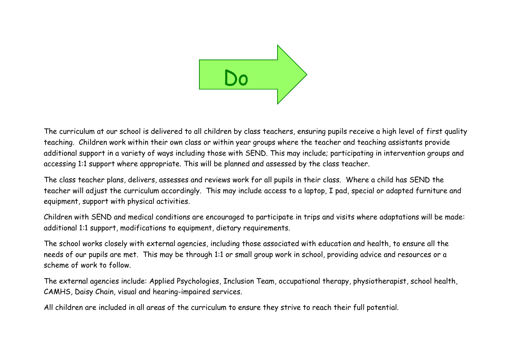

The curriculum at our school is delivered to all children by class teachers, ensuring pupils receive a high level of first quality teaching. Children work within their own class or within year groups where the teacher and teaching assistants provide additional support in a variety of ways including those with SEND. This may include; participating in intervention groups and accessing 1:1 support where appropriate. This will be planned and assessed by the class teacher.

The class teacher plans, delivers, assesses and reviews work for all pupils in their class. Where a child has SEND the teacher will adjust the curriculum accordingly. This may include access to a laptop, I pad, special or adapted furniture and equipment, support with physical activities.

Children with SEND and medical conditions are encouraged to participate in trips and visits where adaptations will be made: additional 1:1 support, modifications to equipment, dietary requirements.

The school works closely with external agencies, including those associated with education and health, to ensure all the needs of our pupils are met. This may be through 1:1 or small group work in school, providing advice and resources or a scheme of work to follow.

The external agencies include: Applied Psychologies, Inclusion Team, occupational therapy, physiotherapist, school health, CAMHS, Daisy Chain, visual and hearing-impaired services.

All children are included in all areas of the curriculum to ensure they strive to reach their full potential.